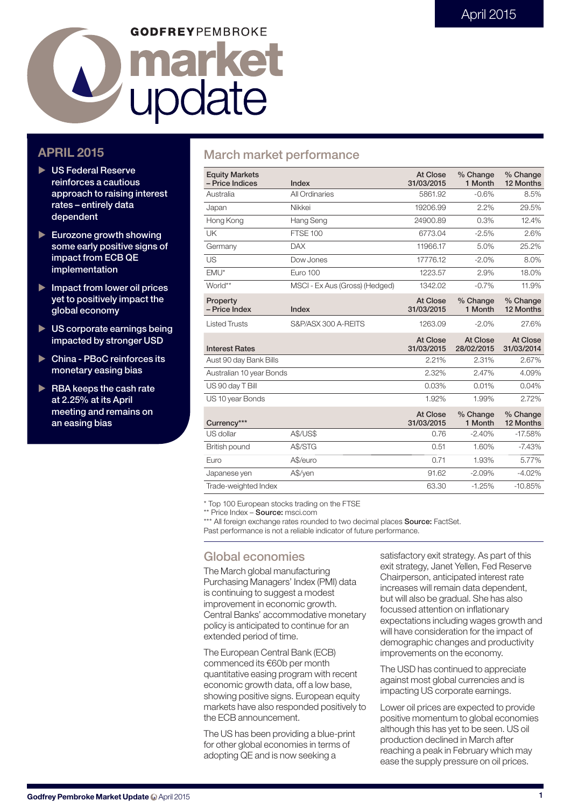# **GODFREYPEMBROKE** market La marke

## **APRIL 2015**

- X **US Federal Reserve reinforces a cautious approach to raising interest rates – entirely data dependent**
- X **Eurozone growth showing some early positive signs of impact from ECB QE implementation**
- ▶ Impact from lower oil prices **yet to positively impact the global economy**
- X **US corporate earnings being impacted by stronger USD**
- ▶ China PBoC reinforces its **monetary easing bias**
- X **RBA keeps the cash rate at 2.25% at its April meeting and remains on an easing bias**

## **March market performance**

| <b>Equity Markets</b><br>- Price Indices | Index                          | At Close<br>31/03/2015 | % Change<br>1 Month    | % Change<br>12 Months  |
|------------------------------------------|--------------------------------|------------------------|------------------------|------------------------|
| Australia                                | All Ordinaries                 | 5861.92                | $-0.6%$                | 8.5%                   |
| Japan                                    | Nikkei                         | 19206.99               | 2.2%                   | 29.5%                  |
| Hong Kong                                | Hang Seng                      | 24900.89               | 0.3%                   | 12.4%                  |
| UK                                       | <b>FTSE 100</b>                | 6773.04                | $-2.5%$                | 2.6%                   |
| Germany                                  | <b>DAX</b>                     | 11966.17               | 5.0%                   | 25.2%                  |
| US                                       | Dow Jones                      | 17776.12               | $-2.0%$                | 8.0%                   |
| EMU*                                     | Euro 100                       | 1223.57                | 2.9%                   | 18.0%                  |
| World**                                  | MSCI - Ex Aus (Gross) (Hedged) | 1342.02                | $-0.7%$                | 11.9%                  |
| Property<br>- Price Index                | Index                          | At Close<br>31/03/2015 | % Change<br>1 Month    | % Change<br>12 Months  |
| <b>Listed Trusts</b>                     | S&P/ASX 300 A-REITS            | 1263.09                | $-2.0%$                | 27.6%                  |
|                                          |                                |                        |                        |                        |
| <b>Interest Rates</b>                    |                                | At Close<br>31/03/2015 | At Close<br>28/02/2015 | At Close<br>31/03/2014 |
| Aust 90 day Bank Bills                   |                                | 2.21%                  | 2.31%                  | 2.67%                  |
| Australian 10 year Bonds                 |                                | 2.32%                  | 2.47%                  | 4.09%                  |
| US 90 day T Bill                         |                                | 0.03%                  | 0.01%                  | 0.04%                  |
| US 10 year Bonds                         |                                | 1.92%                  | 1.99%                  | 2.72%                  |
| Currency***                              |                                | At Close<br>31/03/2015 | % Change<br>1 Month    | % Change<br>12 Months  |
| US dollar                                | <b>A\$/US\$</b>                | 0.76                   | $-2.40%$               | $-17.58%$              |
| British pound                            | A\$/STG                        | 0.51                   | 1.60%                  | $-7.43%$               |
| Euro                                     | A\$/euro                       | 0.71                   | 1.93%                  | 5.77%                  |
| Japanese yen                             | A\$/yen                        | 91.62                  | $-2.09%$               | $-4.02%$               |

\* Top 100 European stocks trading on the FTSE

\*\* Price Index – **Source:** msci.com

\*\*\* All foreign exchange rates rounded to two decimal places **Source:** FactSet. Past performance is not a reliable indicator of future performance.

## **Global economies**

The March global manufacturing Purchasing Managers' Index (PMI) data is continuing to suggest a modest improvement in economic growth. Central Banks' accommodative monetary policy is anticipated to continue for an extended period of time.

The European Central Bank (ECB) commenced its €60b per month quantitative easing program with recent economic growth data, off a low base, showing positive signs. European equity markets have also responded positively to the ECB announcement.

The US has been providing a blue-print for other global economies in terms of adopting QE and is now seeking a

satisfactory exit strategy. As part of this exit strategy, Janet Yellen, Fed Reserve Chairperson, anticipated interest rate increases will remain data dependent, but will also be gradual. She has also focussed attention on inflationary expectations including wages growth and will have consideration for the impact of demographic changes and productivity improvements on the economy.

The USD has continued to appreciate against most global currencies and is impacting US corporate earnings.

Lower oil prices are expected to provide positive momentum to global economies although this has yet to be seen. US oil production declined in March after reaching a peak in February which may ease the supply pressure on oil prices.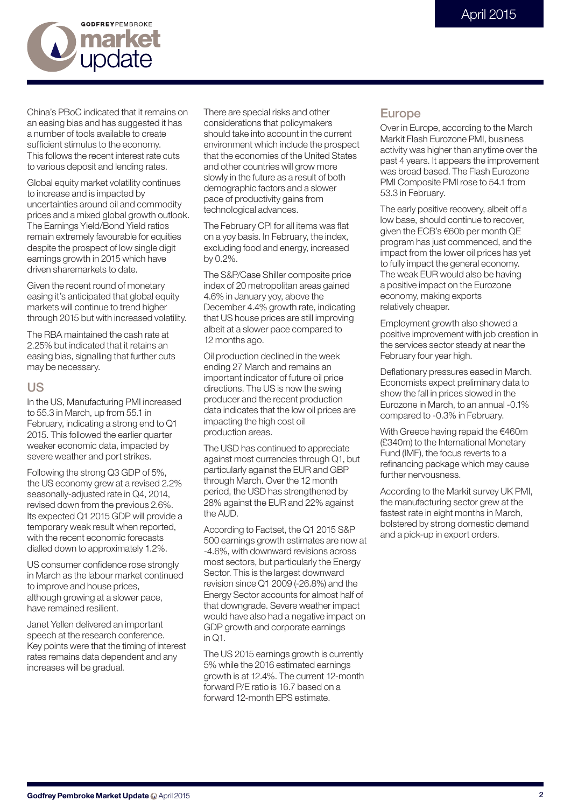

China's PBoC indicated that it remains on an easing bias and has suggested it has a number of tools available to create sufficient stimulus to the economy. This follows the recent interest rate cuts to various deposit and lending rates.

Global equity market volatility continues to increase and is impacted by uncertainties around oil and commodity prices and a mixed global growth outlook. The Earnings Yield/Bond Yield ratios remain extremely favourable for equities despite the prospect of low single digit earnings growth in 2015 which have driven sharemarkets to date.

Given the recent round of monetary easing it's anticipated that global equity markets will continue to trend higher through 2015 but with increased volatility.

The RBA maintained the cash rate at 2.25% but indicated that it retains an easing bias, signalling that further cuts may be necessary.

#### **US**

In the US, Manufacturing PMI increased to 55.3 in March, up from 55.1 in February, indicating a strong end to Q1 2015. This followed the earlier quarter weaker economic data, impacted by severe weather and port strikes.

Following the strong Q3 GDP of 5%, the US economy grew at a revised 2.2% seasonally-adjusted rate in Q4, 2014, revised down from the previous 2.6%. Its expected Q1 2015 GDP will provide a temporary weak result when reported, with the recent economic forecasts dialled down to approximately 1.2%.

US consumer confidence rose strongly in March as the labour market continued to improve and house prices, although growing at a slower pace, have remained resilient.

Janet Yellen delivered an important speech at the research conference. Key points were that the timing of interest rates remains data dependent and any increases will be gradual.

There are special risks and other considerations that policymakers should take into account in the current environment which include the prospect that the economies of the United States and other countries will grow more slowly in the future as a result of both demographic factors and a slower pace of productivity gains from technological advances.

The February CPI for all items was flat on a yoy basis. In February, the index, excluding food and energy, increased by 0.2%.

The S&P/Case Shiller composite price index of 20 metropolitan areas gained 4.6% in January yoy, above the December 4.4% growth rate, indicating that US house prices are still improving albeit at a slower pace compared to 12 months ago.

Oil production declined in the week ending 27 March and remains an important indicator of future oil price directions. The US is now the swing producer and the recent production data indicates that the low oil prices are impacting the high cost oil production areas.

The USD has continued to appreciate against most currencies through Q1, but particularly against the EUR and GBP through March. Over the 12 month period, the USD has strengthened by 28% against the EUR and 22% against the AUD.

According to Factset, the Q1 2015 S&P 500 earnings growth estimates are now at -4.6%, with downward revisions across most sectors, but particularly the Energy Sector. This is the largest downward revision since Q1 2009 (-26.8%) and the Energy Sector accounts for almost half of that downgrade. Severe weather impact would have also had a negative impact on GDP growth and corporate earnings in  $\bigcap$ 1.

The US 2015 earnings growth is currently 5% while the 2016 estimated earnings growth is at 12.4%. The current 12-month forward P/E ratio is 16.7 based on a forward 12-month EPS estimate.

#### **Europe**

Over in Europe, according to the March Markit Flash Eurozone PMI, business activity was higher than anytime over the past 4 years. It appears the improvement was broad based. The Flash Eurozone PMI Composite PMI rose to 54.1 from 53.3 in February.

The early positive recovery, albeit off a low base, should continue to recover, given the ECB's €60b per month QE program has just commenced, and the impact from the lower oil prices has yet to fully impact the general economy. The weak EUR would also be having a positive impact on the Eurozone economy, making exports relatively cheaper.

Employment growth also showed a positive improvement with job creation in the services sector steady at near the February four year high.

Deflationary pressures eased in March. Economists expect preliminary data to show the fall in prices slowed in the Eurozone in March, to an annual -0.1% compared to -0.3% in February.

With Greece having repaid the €460m (£340m) to the International Monetary Fund (IMF), the focus reverts to a refinancing package which may cause further nervousness.

According to the Markit survey UK PMI, the manufacturing sector grew at the fastest rate in eight months in March, bolstered by strong domestic demand and a pick-up in export orders.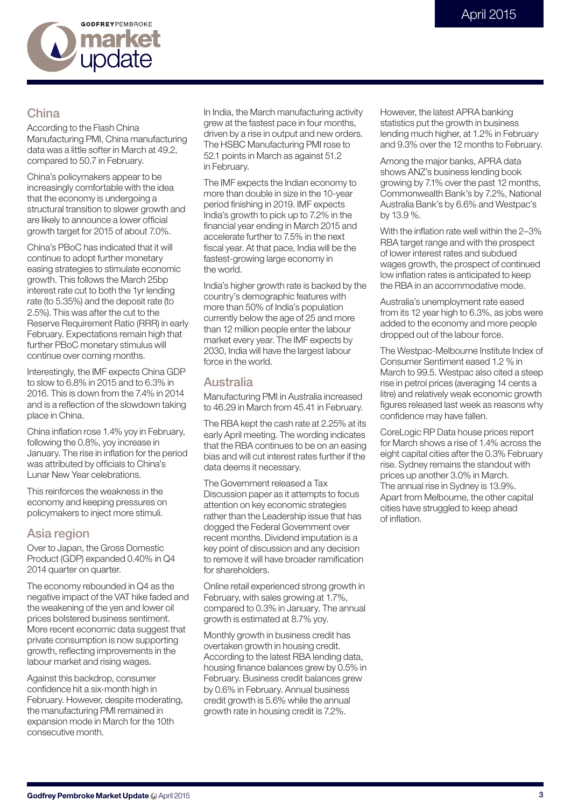

## **China**

According to the Flash China Manufacturing PMI, China manufacturing data was a little softer in March at 49.2, compared to 50.7 in February.

China's policymakers appear to be increasingly comfortable with the idea that the economy is undergoing a structural transition to slower growth and are likely to announce a lower official growth target for 2015 of about 7.0%.

China's PBoC has indicated that it will continue to adopt further monetary easing strategies to stimulate economic growth. This follows the March 25bp interest rate cut to both the 1yr lending rate (to 5.35%) and the deposit rate (to 2.5%). This was after the cut to the Reserve Requirement Ratio (RRR) in early February. Expectations remain high that further PBoC monetary stimulus will continue over coming months.

Interestingly, the IMF expects China GDP to slow to 6.8% in 2015 and to 6.3% in 2016. This is down from the 7.4% in 2014 and is a reflection of the slowdown taking place in China.

China inflation rose 1.4% yoy in February, following the 0.8%, yoy increase in January. The rise in inflation for the period was attributed by officials to China's Lunar New Year celebrations.

This reinforces the weakness in the economy and keeping pressures on policymakers to inject more stimuli.

#### **Asia region**

Over to Japan, the Gross Domestic Product (GDP) expanded 0.40% in Q4 2014 quarter on quarter.

The economy rebounded in Q4 as the negative impact of the VAT hike faded and the weakening of the yen and lower oil prices bolstered business sentiment. More recent economic data suggest that private consumption is now supporting growth, reflecting improvements in the labour market and rising wages.

Against this backdrop, consumer confidence hit a six-month high in February. However, despite moderating, the manufacturing PMI remained in expansion mode in March for the 10th consecutive month.

In India, the March manufacturing activity grew at the fastest pace in four months, driven by a rise in output and new orders. The HSBC Manufacturing PMI rose to 52.1 points in March as against 51.2 in February.

The IMF expects the Indian economy to more than double in size in the 10-year period finishing in 2019. IMF expects India's growth to pick up to 7.2% in the financial year ending in March 2015 and accelerate further to 7.5% in the next fiscal year. At that pace, India will be the fastest-growing large economy in the world.

India's higher growth rate is backed by the country's demographic features with more than 50% of India's population currently below the age of 25 and more than 12 million people enter the labour market every year. The IMF expects by 2030, India will have the largest labour force in the world.

#### **Australia**

Manufacturing PMI in Australia increased to 46.29 in March from 45.41 in February.

The RBA kept the cash rate at 2.25% at its early April meeting. The wording indicates that the RBA continues to be on an easing bias and will cut interest rates further if the data deems it necessary.

The Government released a Tax Discussion paper as it attempts to focus attention on key economic strategies rather than the Leadership issue that has dogged the Federal Government over recent months. Dividend imputation is a key point of discussion and any decision to remove it will have broader ramification for shareholders.

Online retail experienced strong growth in February, with sales growing at 1.7%, compared to 0.3% in January. The annual growth is estimated at 8.7% yoy.

Monthly growth in business credit has overtaken growth in housing credit. According to the latest RBA lending data, housing finance balances grew by 0.5% in February. Business credit balances grew by 0.6% in February. Annual business credit growth is 5.6% while the annual growth rate in housing credit is 7.2%.

However, the latest APRA banking statistics put the growth in business lending much higher, at 1.2% in February and 9.3% over the 12 months to February.

Among the major banks, APRA data shows ANZ's business lending book growing by 7.1% over the past 12 months, Commonwealth Bank's by 7.2%, National Australia Bank's by 6.6% and Westpac's by 13.9 %.

With the inflation rate well within the 2–3% RBA target range and with the prospect of lower interest rates and subdued wages growth, the prospect of continued low inflation rates is anticipated to keep the RBA in an accommodative mode.

Australia's unemployment rate eased from its 12 year high to 6.3%, as jobs were added to the economy and more people dropped out of the labour force.

The Westpac-Melbourne Institute Index of Consumer Sentiment eased 1.2 % in March to 99.5. Westpac also cited a steep rise in petrol prices (averaging 14 cents a litre) and relatively weak economic growth figures released last week as reasons why confidence may have fallen.

CoreLogic RP Data house prices report for March shows a rise of 1.4% across the eight capital cities after the 0.3% February rise. Sydney remains the standout with prices up another 3.0% in March. The annual rise in Sydney is 13.9%. Apart from Melbourne, the other capital cities have struggled to keep ahead of inflation.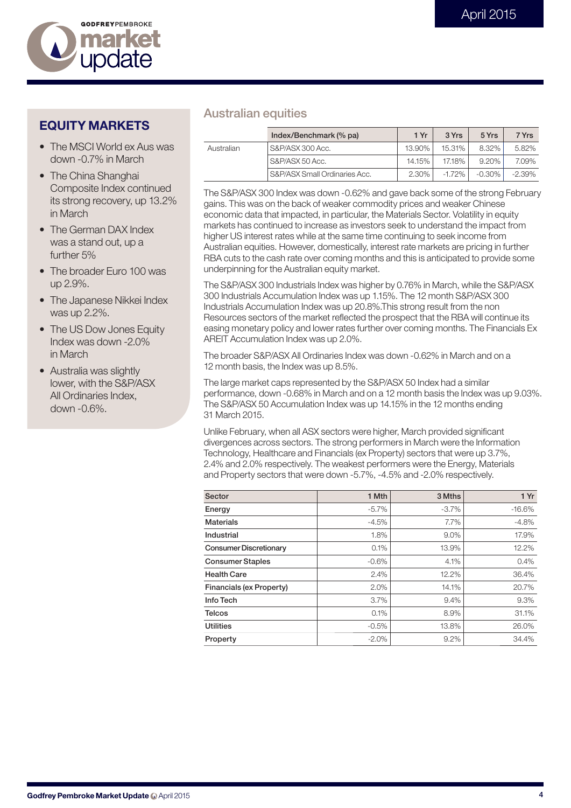

## **EQUITY MARKETS**

- The MSCI World ex Aus was down -0.7% in March
- The China Shanghai Composite Index continued its strong recovery, up 13.2% in March
- The German DAX Index was a stand out, up a further 5%
- The broader Furo 100 was up 2.9%.
- The Japanese Nikkei Index was up 2.2%.
- The US Dow Jones Equity Index was down -2.0% in March
- Australia was slightly lower, with the S&P/ASX All Ordinaries Index, down -0.6%.

## **Australian equities**

|            | Index/Benchmark (% pa)        | 1 Yr     | 3 Yrs     | 5 Yrs     | 7 Yrs     |
|------------|-------------------------------|----------|-----------|-----------|-----------|
| Australian | S&P/ASX 300 Acc.              | 13.90%   | 15.31%    | 8.32%     | 5.82%     |
|            | S&P/ASX 50 Acc.               | 14.15%   | 17.18%    | $9.20\%$  | 7.09%     |
|            | S&P/ASX Small Ordinaries Acc. | $2.30\%$ | $-1.72\%$ | $-0.30\%$ | $-2.39\%$ |

The S&P/ASX 300 Index was down -0.62% and gave back some of the strong February gains. This was on the back of weaker commodity prices and weaker Chinese economic data that impacted, in particular, the Materials Sector. Volatility in equity markets has continued to increase as investors seek to understand the impact from higher US interest rates while at the same time continuing to seek income from Australian equities. However, domestically, interest rate markets are pricing in further RBA cuts to the cash rate over coming months and this is anticipated to provide some underpinning for the Australian equity market.

The S&P/ASX 300 Industrials Index was higher by 0.76% in March, while the S&P/ASX 300 Industrials Accumulation Index was up 1.15%. The 12 month S&P/ASX 300 Industrials Accumulation Index was up 20.8%.This strong result from the non Resources sectors of the market reflected the prospect that the RBA will continue its easing monetary policy and lower rates further over coming months. The Financials Ex AREIT Accumulation Index was up 2.0%.

The broader S&P/ASX All Ordinaries Index was down -0.62% in March and on a 12 month basis, the Index was up 8.5%.

The large market caps represented by the S&P/ASX 50 Index had a similar performance, down -0.68% in March and on a 12 month basis the Index was up 9.03%. The S&P/ASX 50 Accumulation Index was up 14.15% in the 12 months ending 31 March 2015.

Unlike February, when all ASX sectors were higher, March provided significant divergences across sectors. The strong performers in March were the Information Technology, Healthcare and Financials (ex Property) sectors that were up 3.7%, 2.4% and 2.0% respectively. The weakest performers were the Energy, Materials and Property sectors that were down -5.7%, -4.5% and -2.0% respectively.

| Sector                        | 1 Mth    | 3 Mths   | 1Yr      |
|-------------------------------|----------|----------|----------|
| Energy                        | $-5.7\%$ | $-3.7\%$ | $-16.6%$ |
| <b>Materials</b>              | $-4.5%$  | 7.7%     | $-4.8%$  |
| Industrial                    | 1.8%     | $9.0\%$  | 17.9%    |
| <b>Consumer Discretionary</b> | 0.1%     | 13.9%    | 12.2%    |
| <b>Consumer Staples</b>       | $-0.6%$  | 4.1%     | 0.4%     |
| <b>Health Care</b>            | 2.4%     | 12.2%    | 36.4%    |
| Financials (ex Property)      | 2.0%     | 14.1%    | 20.7%    |
| Info Tech                     | 3.7%     | 9.4%     | 9.3%     |
| <b>Telcos</b>                 | 0.1%     | 8.9%     | 31.1%    |
| <b>Utilities</b>              | $-0.5%$  | 13.8%    | 26.0%    |
| Property                      | $-2.0\%$ | 9.2%     | 34.4%    |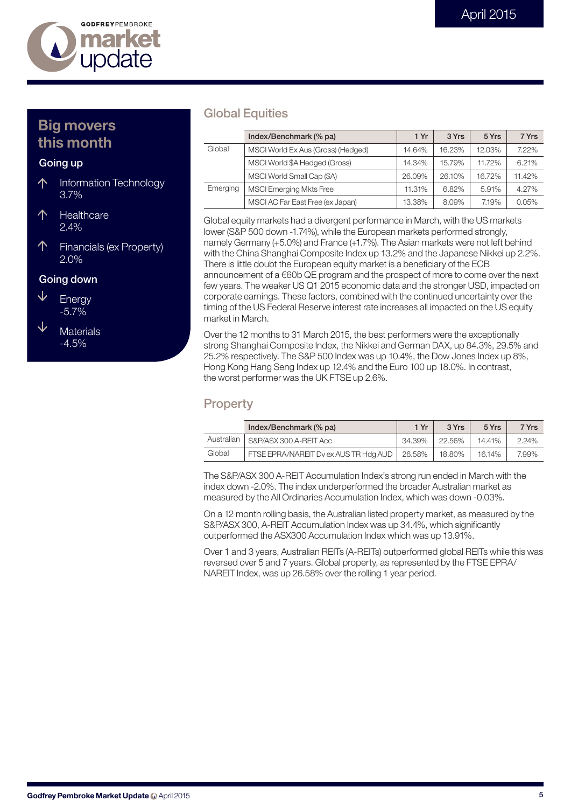

# **Big movers this month**

#### **Going up**

- 个 Information Technology 3.7%
- 个 **Healthcare** 2.4%
- 个 Financials (ex Property) 2.0%

#### **Going down**

- ↓ **Energy** -5.7%
- ↓ **Materials** -4.5%

#### **Global Equities**

|          | Index/Benchmark (% pa)             | 1 Yr   | 3 Yrs  | 5 Yrs  | 7 Yrs  |
|----------|------------------------------------|--------|--------|--------|--------|
| Global   | MSCI World Ex Aus (Gross) (Hedged) | 14.64% | 16.23% | 12.03% | 7.22%  |
|          | MSCI World \$A Hedged (Gross)      | 14.34% | 15.79% | 11.72% | 6.21%  |
|          | MSCI World Small Cap (\$A)         | 26.09% | 26.10% | 16.72% | 11.42% |
| Emerging | <b>MSCI Emerging Mkts Free</b>     | 11.31% | 6.82%  | 5.91%  | 4.27%  |
|          | MSCI AC Far East Free (ex Japan)   | 13.38% | 8.09%  | 7.19%  | 0.05%  |

Global equity markets had a divergent performance in March, with the US markets lower (S&P 500 down -1.74%), while the European markets performed strongly, namely Germany (+5.0%) and France (+1.7%). The Asian markets were not left behind with the China Shanghai Composite Index up 13.2% and the Japanese Nikkei up 2.2%. There is little doubt the European equity market is a beneficiary of the ECB announcement of  $a \in 60b$  QE program and the prospect of more to come over the next few years. The weaker US Q1 2015 economic data and the stronger USD, impacted on corporate earnings. These factors, combined with the continued uncertainty over the timing of the US Federal Reserve interest rate increases all impacted on the US equity market in March.

Over the 12 months to 31 March 2015, the best performers were the exceptionally strong Shanghai Composite Index, the Nikkei and German DAX, up 84.3%, 29.5% and 25.2% respectively. The S&P 500 Index was up 10.4%, the Dow Jones Index up 8%, Hong Kong Hang Seng Index up 12.4% and the Euro 100 up 18.0%. In contrast, the worst performer was the UK FTSE up 2.6%.

#### **Property**

|            | Index/Benchmark (% pa)                | 1 Yr   | 3 Yrs  | 5 Yrs  | 7 Yrs |
|------------|---------------------------------------|--------|--------|--------|-------|
| Australian | S&P/ASX 300 A-REIT Acc                | 34.39% | 22.56% | 14.41% | 2.24% |
| Global     | FTSE EPRA/NAREIT Dv ex AUS TR Hdg AUD | 26.58% | 18.80% | 16.14% | 7.99% |

The S&P/ASX 300 A-REIT Accumulation Index's strong run ended in March with the index down -2.0%. The index underperformed the broader Australian market as measured by the All Ordinaries Accumulation Index, which was down -0.03%.

On a 12 month rolling basis, the Australian listed property market, as measured by the S&P/ASX 300, A-REIT Accumulation Index was up 34.4%, which significantly outperformed the ASX300 Accumulation Index which was up 13.91%.

Over 1 and 3 years, Australian REITs (A-REITs) outperformed global REITs while this was reversed over 5 and 7 years. Global property, as represented by the FTSE EPRA/ NAREIT Index, was up 26.58% over the rolling 1 year period.